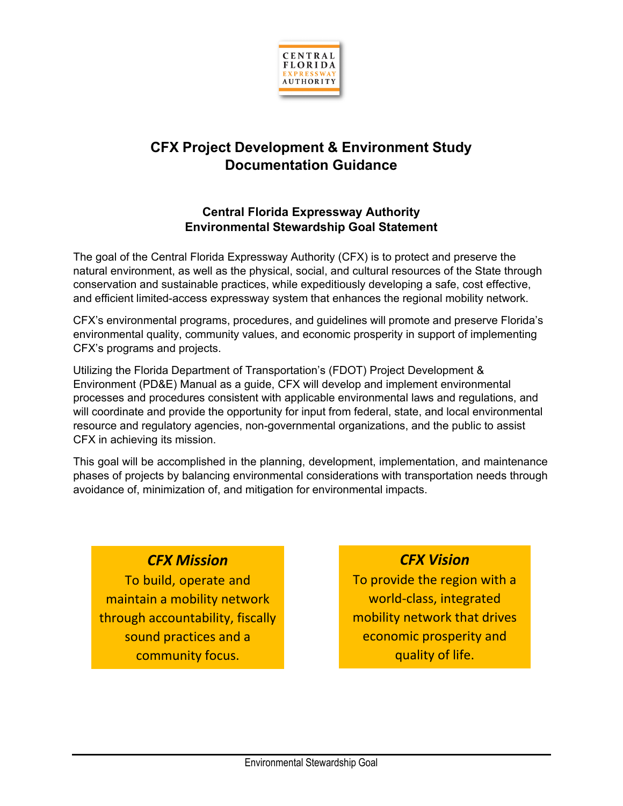

# **CFX Project Development & Environment Study Documentation Guidance**

## **Central Florida Expressway Authority Environmental Stewardship Goal Statement**

The goal of the Central Florida Expressway Authority (CFX) is to protect and preserve the natural environment, as well as the physical, social, and cultural resources of the State through conservation and sustainable practices, while expeditiously developing a safe, cost effective, and efficient limited-access expressway system that enhances the regional mobility network.

CFX's environmental programs, procedures, and guidelines will promote and preserve Florida's environmental quality, community values, and economic prosperity in support of implementing CFX's programs and projects.

Utilizing the Florida Department of Transportation's (FDOT) Project Development & Environment (PD&E) Manual as a guide, CFX will develop and implement environmental processes and procedures consistent with applicable environmental laws and regulations, and will coordinate and provide the opportunity for input from federal, state, and local environmental resource and regulatory agencies, non-governmental organizations, and the public to assist CFX in achieving its mission.

This goal will be accomplished in the planning, development, implementation, and maintenance phases of projects by balancing environmental considerations with transportation needs through avoidance of, minimization of, and mitigation for environmental impacts.

## *CFX Mission*

To build, operate and maintain a mobility network through accountability, fiscally sound practices and a community focus.

# *CFX Vision*

To provide the region with a world-class, integrated mobility network that drives economic prosperity and quality of life.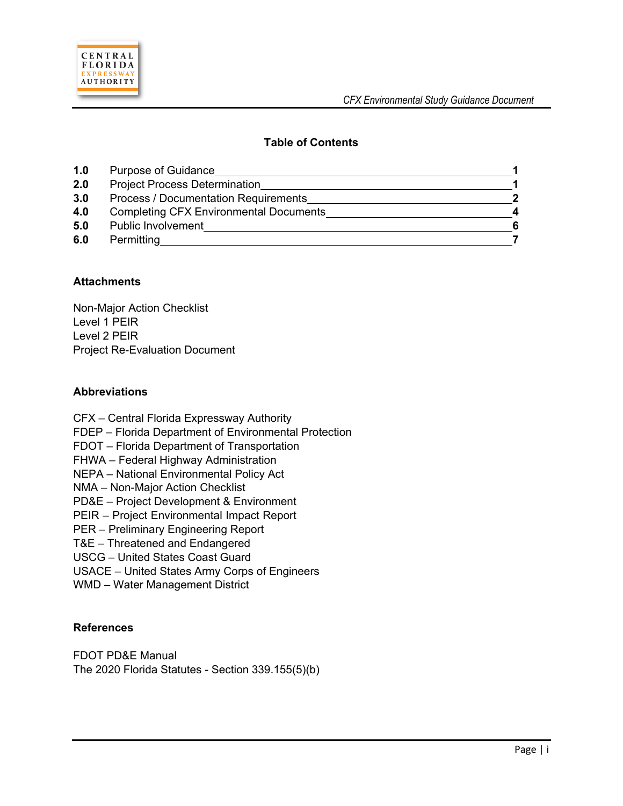

### **Table of Contents**

| 1.0 | <b>Purpose of Guidance</b>                    |   |
|-----|-----------------------------------------------|---|
| 2.0 | <b>Project Process Determination</b>          |   |
| 3.0 | <b>Process / Documentation Requirements</b>   | 2 |
| 4.0 | <b>Completing CFX Environmental Documents</b> |   |
| 5.0 | <b>Public Involvement</b>                     |   |
| 6.0 | Permitting                                    |   |

#### **Attachments**

Non-Major Action Checklist Level 1 PEIR Level 2 PEIR Project Re-Evaluation Document

#### **Abbreviations**

CFX – Central Florida Expressway Authority FDEP – Florida Department of Environmental Protection FDOT – Florida Department of Transportation FHWA – Federal Highway Administration NEPA – National Environmental Policy Act NMA – Non-Major Action Checklist PD&E – Project Development & Environment PEIR – Project Environmental Impact Report PER – Preliminary Engineering Report T&E – Threatened and Endangered USCG – United States Coast Guard USACE – United States Army Corps of Engineers WMD – Water Management District

#### **References**

FDOT PD&E Manual The 2020 Florida Statutes - Section 339.155(5)(b)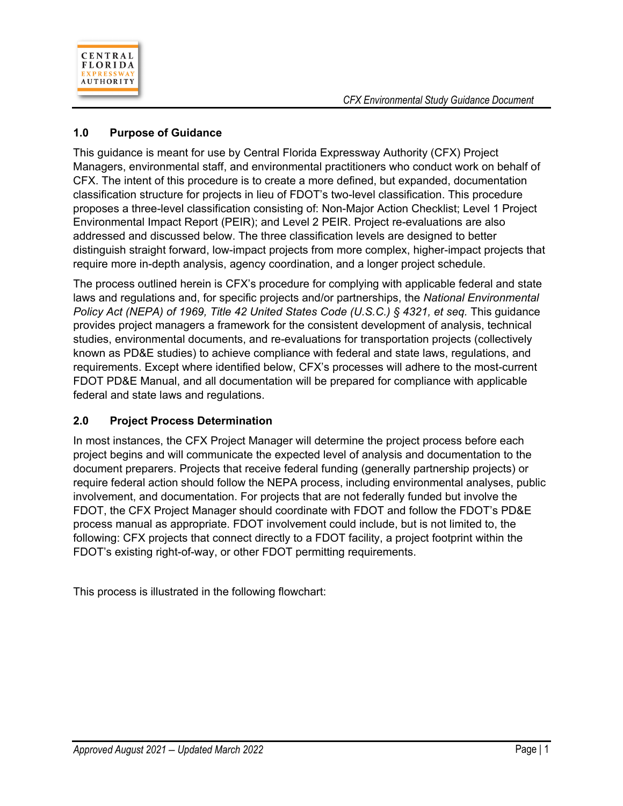

## **1.0 Purpose of Guidance**

This guidance is meant for use by Central Florida Expressway Authority (CFX) Project Managers, environmental staff, and environmental practitioners who conduct work on behalf of CFX. The intent of this procedure is to create a more defined, but expanded, documentation classification structure for projects in lieu of FDOT's two-level classification. This procedure proposes a three-level classification consisting of: Non-Major Action Checklist; Level 1 Project Environmental Impact Report (PEIR); and Level 2 PEIR. Project re-evaluations are also addressed and discussed below. The three classification levels are designed to better distinguish straight forward, low-impact projects from more complex, higher-impact projects that require more in-depth analysis, agency coordination, and a longer project schedule.

The process outlined herein is CFX's procedure for complying with applicable federal and state laws and regulations and, for specific projects and/or partnerships, the *National Environmental Policy Act (NEPA) of 1969, Title 42 United States Code (U.S.C.) § 4321, et seq. This quidance* provides project managers a framework for the consistent development of analysis, technical studies, environmental documents, and re-evaluations for transportation projects (collectively known as PD&E studies) to achieve compliance with federal and state laws, regulations, and requirements. Except where identified below, CFX's processes will adhere to the most-current FDOT PD&E Manual, and all documentation will be prepared for compliance with applicable federal and state laws and regulations.

### **2.0 Project Process Determination**

In most instances, the CFX Project Manager will determine the project process before each project begins and will communicate the expected level of analysis and documentation to the document preparers. Projects that receive federal funding (generally partnership projects) or require federal action should follow the NEPA process, including environmental analyses, public involvement, and documentation. For projects that are not federally funded but involve the FDOT, the CFX Project Manager should coordinate with FDOT and follow the FDOT's PD&E process manual as appropriate. FDOT involvement could include, but is not limited to, the following: CFX projects that connect directly to a FDOT facility, a project footprint within the FDOT's existing right-of-way, or other FDOT permitting requirements.

This process is illustrated in the following flowchart: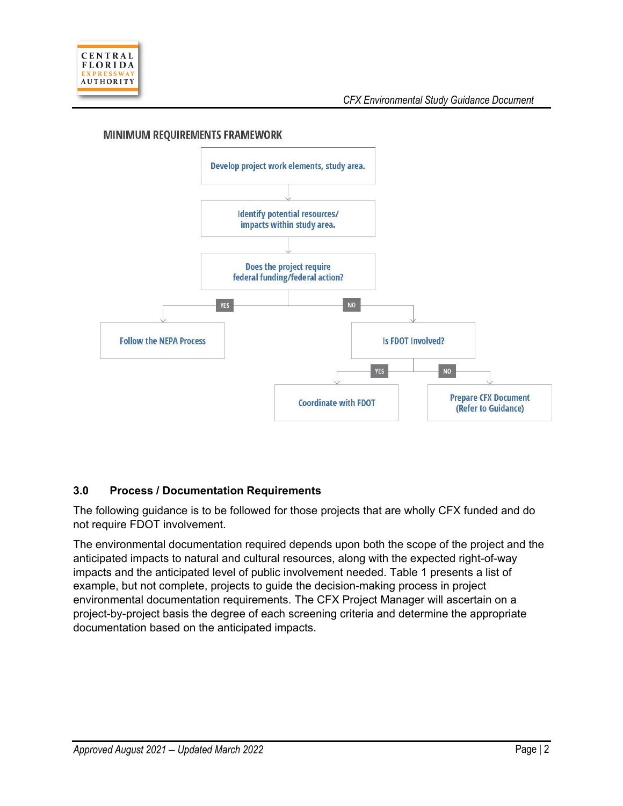

#### **MINIMUM REQUIREMENTS FRAMEWORK**



### **3.0 Process / Documentation Requirements**

The following guidance is to be followed for those projects that are wholly CFX funded and do not require FDOT involvement.

The environmental documentation required depends upon both the scope of the project and the anticipated impacts to natural and cultural resources, along with the expected right-of-way impacts and the anticipated level of public involvement needed. Table 1 presents a list of example, but not complete, projects to guide the decision-making process in project environmental documentation requirements. The CFX Project Manager will ascertain on a project-by-project basis the degree of each screening criteria and determine the appropriate documentation based on the anticipated impacts.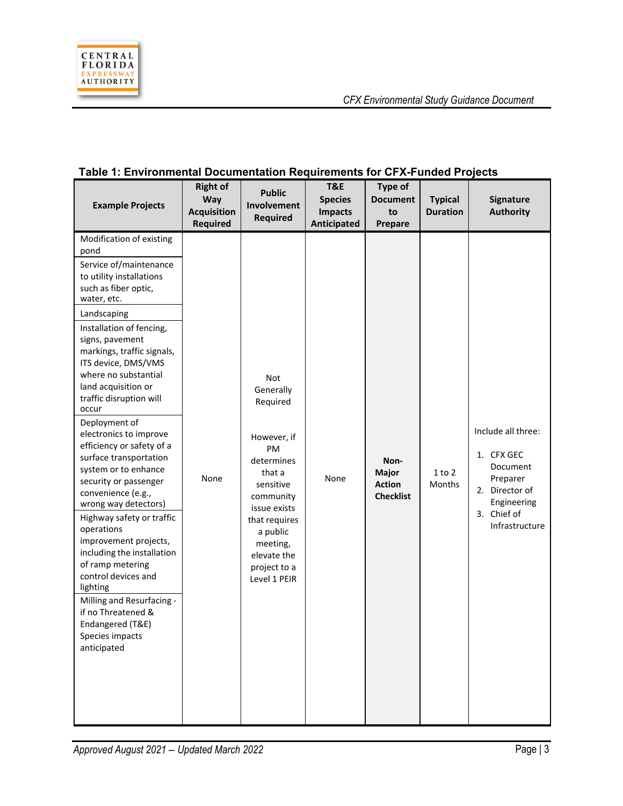

| avie 1. Litvironinental Documentation Requirements for OFA-Funded Frojects<br><b>Example Projects</b>                                                                                                                                                                                                                                                                                                                                                                                                                                                                                                                                                                                                                                                                                                  | <b>Right of</b><br>Way<br><b>Acquisition</b><br><b>Required</b> | <b>Public</b><br>Involvement<br><b>Required</b>                                                                                                                                                             | T&E<br><b>Species</b><br><b>Impacts</b><br>Anticipated | Type of<br><b>Document</b><br>to<br>Prepare               | <b>Typical</b><br><b>Duration</b> | Signature<br><b>Authority</b>                                                                                              |
|--------------------------------------------------------------------------------------------------------------------------------------------------------------------------------------------------------------------------------------------------------------------------------------------------------------------------------------------------------------------------------------------------------------------------------------------------------------------------------------------------------------------------------------------------------------------------------------------------------------------------------------------------------------------------------------------------------------------------------------------------------------------------------------------------------|-----------------------------------------------------------------|-------------------------------------------------------------------------------------------------------------------------------------------------------------------------------------------------------------|--------------------------------------------------------|-----------------------------------------------------------|-----------------------------------|----------------------------------------------------------------------------------------------------------------------------|
| Modification of existing<br>pond<br>Service of/maintenance<br>to utility installations<br>such as fiber optic,<br>water, etc.<br>Landscaping<br>Installation of fencing,<br>signs, pavement<br>markings, traffic signals,<br>ITS device, DMS/VMS<br>where no substantial<br>land acquisition or<br>traffic disruption will<br>occur<br>Deployment of<br>electronics to improve<br>efficiency or safety of a<br>surface transportation<br>system or to enhance<br>security or passenger<br>convenience (e.g.,<br>wrong way detectors)<br>Highway safety or traffic<br>operations<br>improvement projects,<br>including the installation<br>of ramp metering<br>control devices and<br>lighting<br>Milling and Resurfacing -<br>if no Threatened &<br>Endangered (T&E)<br>Species impacts<br>anticipated | None                                                            | Not<br>Generally<br>Required<br>However, if<br>PM<br>determines<br>that a<br>sensitive<br>community<br>issue exists<br>that requires<br>a public<br>meeting,<br>elevate the<br>project to a<br>Level 1 PEIR | None                                                   | Non-<br><b>Major</b><br><b>Action</b><br><b>Checklist</b> | 1 to 2<br>Months                  | Include all three:<br>1. CFX GEC<br>Document<br>Preparer<br>2. Director of<br>Engineering<br>3. Chief of<br>Infrastructure |

### **Table 1: Environmental Documentation Requirements for CFX-Funded Projects**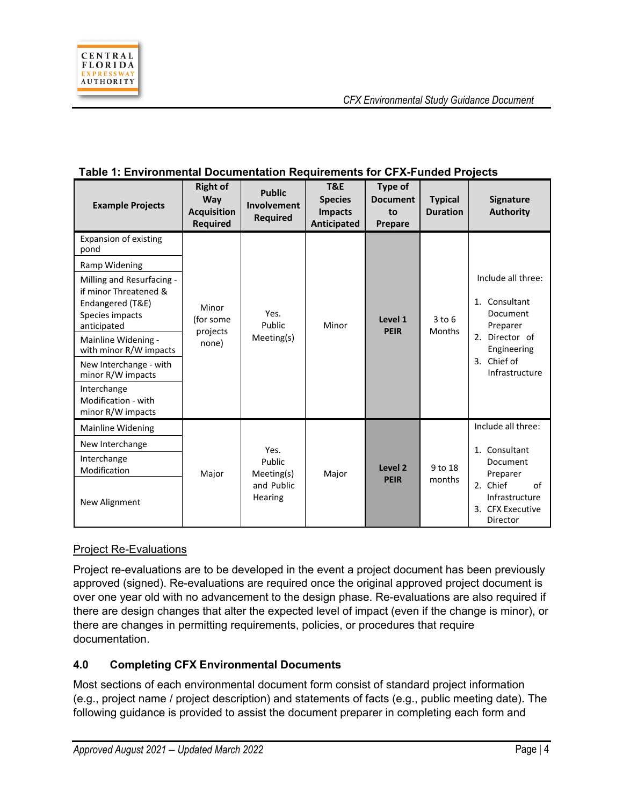

| <b>Example Projects</b>                                                                                  | <b>Right of</b><br>Way<br><b>Acquisition</b><br><b>Required</b> | <b>Public</b><br>Involvement<br><b>Required</b> | <b>T&amp;E</b><br><b>Species</b><br><b>Impacts</b><br>Anticipated | Type of<br><b>Document</b><br>to<br>Prepare | <b>Typical</b><br><b>Duration</b> | <b>Signature</b><br><b>Authority</b>                             |  |  |  |  |  |  |  |  |  |  |  |  |  |  |  |  |  |  |  |  |                               |
|----------------------------------------------------------------------------------------------------------|-----------------------------------------------------------------|-------------------------------------------------|-------------------------------------------------------------------|---------------------------------------------|-----------------------------------|------------------------------------------------------------------|--|--|--|--|--|--|--|--|--|--|--|--|--|--|--|--|--|--|--|--|-------------------------------|
| <b>Expansion of existing</b><br>pond                                                                     |                                                                 |                                                 |                                                                   |                                             |                                   |                                                                  |  |  |  |  |  |  |  |  |  |  |  |  |  |  |  |  |  |  |  |  |                               |
| Ramp Widening                                                                                            |                                                                 |                                                 |                                                                   |                                             |                                   |                                                                  |  |  |  |  |  |  |  |  |  |  |  |  |  |  |  |  |  |  |  |  |                               |
| Milling and Resurfacing -<br>if minor Threatened &<br>Endangered (T&E)<br>Species impacts<br>anticipated | Minor<br>(for some<br>projects                                  | Yes.<br>Public                                  | Minor                                                             | Level 1<br><b>PEIR</b>                      | $3$ to $6$<br>Months              | Include all three:<br>1. Consultant<br>Document<br>Preparer      |  |  |  |  |  |  |  |  |  |  |  |  |  |  |  |  |  |  |  |  |                               |
| Mainline Widening -<br>with minor R/W impacts                                                            | none)                                                           | Meeting(s)                                      |                                                                   |                                             |                                   | 2.<br>Director of<br>Engineering                                 |  |  |  |  |  |  |  |  |  |  |  |  |  |  |  |  |  |  |  |  |                               |
| New Interchange - with<br>minor R/W impacts                                                              |                                                                 |                                                 |                                                                   |                                             |                                   |                                                                  |  |  |  |  |  |  |  |  |  |  |  |  |  |  |  |  |  |  |  |  | 3. Chief of<br>Infrastructure |
| Interchange<br>Modification - with<br>minor R/W impacts                                                  |                                                                 |                                                 |                                                                   |                                             |                                   |                                                                  |  |  |  |  |  |  |  |  |  |  |  |  |  |  |  |  |  |  |  |  |                               |
| <b>Mainline Widening</b>                                                                                 |                                                                 |                                                 |                                                                   |                                             |                                   | Include all three:                                               |  |  |  |  |  |  |  |  |  |  |  |  |  |  |  |  |  |  |  |  |                               |
| New Interchange                                                                                          |                                                                 | Yes.                                            |                                                                   |                                             |                                   | 1. Consultant                                                    |  |  |  |  |  |  |  |  |  |  |  |  |  |  |  |  |  |  |  |  |                               |
| Interchange<br>Modification                                                                              | Major                                                           | Public<br>Meeting(s)                            | Major                                                             | Level 2<br><b>PEIR</b>                      | 9 to 18<br>months                 | Document<br>Preparer                                             |  |  |  |  |  |  |  |  |  |  |  |  |  |  |  |  |  |  |  |  |                               |
| New Alignment                                                                                            |                                                                 | and Public<br>Hearing                           |                                                                   |                                             |                                   | 2. Chief<br>of<br>Infrastructure<br>3. CFX Executive<br>Director |  |  |  |  |  |  |  |  |  |  |  |  |  |  |  |  |  |  |  |  |                               |

### **Table 1: Environmental Documentation Requirements for CFX-Funded Projects**

### Project Re-Evaluations

Project re-evaluations are to be developed in the event a project document has been previously approved (signed). Re-evaluations are required once the original approved project document is over one year old with no advancement to the design phase. Re-evaluations are also required if there are design changes that alter the expected level of impact (even if the change is minor), or there are changes in permitting requirements, policies, or procedures that require documentation.

## **4.0 Completing CFX Environmental Documents**

Most sections of each environmental document form consist of standard project information (e.g., project name / project description) and statements of facts (e.g., public meeting date). The following guidance is provided to assist the document preparer in completing each form and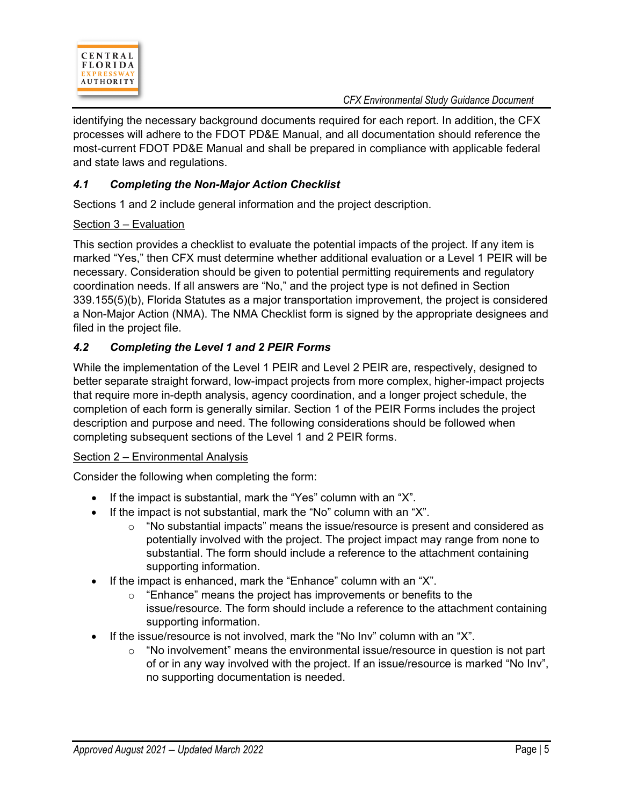

identifying the necessary background documents required for each report. In addition, the CFX processes will adhere to the FDOT PD&E Manual, and all documentation should reference the most-current FDOT PD&E Manual and shall be prepared in compliance with applicable federal and state laws and regulations.

## *4.1 Completing the Non-Major Action Checklist*

Sections 1 and 2 include general information and the project description.

#### Section 3 – Evaluation

This section provides a checklist to evaluate the potential impacts of the project. If any item is marked "Yes," then CFX must determine whether additional evaluation or a Level 1 PEIR will be necessary. Consideration should be given to potential permitting requirements and regulatory coordination needs. If all answers are "No," and the project type is not defined in Section 339.155(5)(b), Florida Statutes as a major transportation improvement, the project is considered a Non-Major Action (NMA). The NMA Checklist form is signed by the appropriate designees and filed in the project file.

### *4.2 Completing the Level 1 and 2 PEIR Forms*

While the implementation of the Level 1 PEIR and Level 2 PEIR are, respectively, designed to better separate straight forward, low-impact projects from more complex, higher-impact projects that require more in-depth analysis, agency coordination, and a longer project schedule, the completion of each form is generally similar. Section 1 of the PEIR Forms includes the project description and purpose and need. The following considerations should be followed when completing subsequent sections of the Level 1 and 2 PEIR forms.

#### Section 2 – Environmental Analysis

Consider the following when completing the form:

- If the impact is substantial, mark the "Yes" column with an "X".
- If the impact is not substantial, mark the "No" column with an "X".
	- $\circ$  "No substantial impacts" means the issue/resource is present and considered as potentially involved with the project. The project impact may range from none to substantial. The form should include a reference to the attachment containing supporting information.
- If the impact is enhanced, mark the "Enhance" column with an "X".
	- o "Enhance" means the project has improvements or benefits to the issue/resource. The form should include a reference to the attachment containing supporting information.
- If the issue/resource is not involved, mark the "No Inv" column with an "X".
	- $\circ$  "No involvement" means the environmental issue/resource in question is not part of or in any way involved with the project. If an issue/resource is marked "No Inv", no supporting documentation is needed.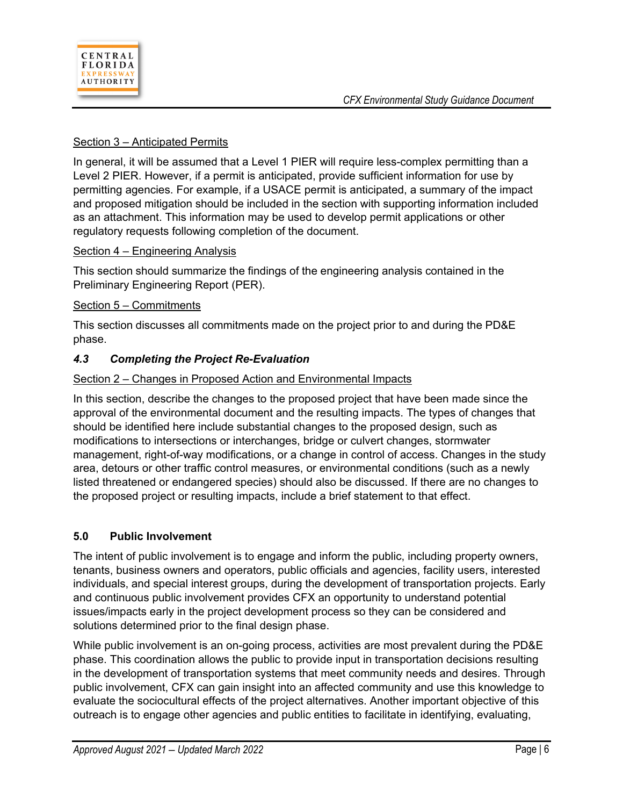### Section 3 – Anticipated Permits

In general, it will be assumed that a Level 1 PIER will require less-complex permitting than a Level 2 PIER. However, if a permit is anticipated, provide sufficient information for use by permitting agencies. For example, if a USACE permit is anticipated, a summary of the impact and proposed mitigation should be included in the section with supporting information included as an attachment. This information may be used to develop permit applications or other regulatory requests following completion of the document.

### Section 4 – Engineering Analysis

This section should summarize the findings of the engineering analysis contained in the Preliminary Engineering Report (PER).

#### Section 5 – Commitments

This section discusses all commitments made on the project prior to and during the PD&E phase.

### *4.3 Completing the Project Re-Evaluation*

#### Section 2 – Changes in Proposed Action and Environmental Impacts

In this section, describe the changes to the proposed project that have been made since the approval of the environmental document and the resulting impacts. The types of changes that should be identified here include substantial changes to the proposed design, such as modifications to intersections or interchanges, bridge or culvert changes, stormwater management, right-of-way modifications, or a change in control of access. Changes in the study area, detours or other traffic control measures, or environmental conditions (such as a newly listed threatened or endangered species) should also be discussed. If there are no changes to the proposed project or resulting impacts, include a brief statement to that effect.

### **5.0 Public Involvement**

The intent of public involvement is to engage and inform the public, including property owners, tenants, business owners and operators, public officials and agencies, facility users, interested individuals, and special interest groups, during the development of transportation projects. Early and continuous public involvement provides CFX an opportunity to understand potential issues/impacts early in the project development process so they can be considered and solutions determined prior to the final design phase.

While public involvement is an on-going process, activities are most prevalent during the PD&E phase. This coordination allows the public to provide input in transportation decisions resulting in the development of transportation systems that meet community needs and desires. Through public involvement, CFX can gain insight into an affected community and use this knowledge to evaluate the sociocultural effects of the project alternatives. Another important objective of this outreach is to engage other agencies and public entities to facilitate in identifying, evaluating,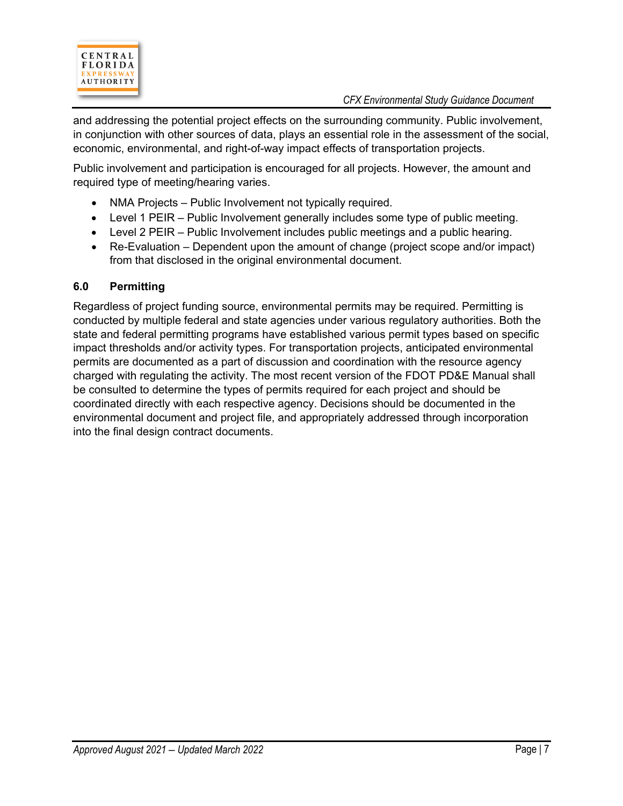

and addressing the potential project effects on the surrounding community. Public involvement, in conjunction with other sources of data, plays an essential role in the assessment of the social, economic, environmental, and right-of-way impact effects of transportation projects.

Public involvement and participation is encouraged for all projects. However, the amount and required type of meeting/hearing varies.

- NMA Projects Public Involvement not typically required.
- Level 1 PEIR Public Involvement generally includes some type of public meeting.
- Level 2 PEIR Public Involvement includes public meetings and a public hearing.
- Re-Evaluation Dependent upon the amount of change (project scope and/or impact) from that disclosed in the original environmental document.

### **6.0 Permitting**

Regardless of project funding source, environmental permits may be required. Permitting is conducted by multiple federal and state agencies under various regulatory authorities. Both the state and federal permitting programs have established various permit types based on specific impact thresholds and/or activity types. For transportation projects, anticipated environmental permits are documented as a part of discussion and coordination with the resource agency charged with regulating the activity. The most recent version of the FDOT PD&E Manual shall be consulted to determine the types of permits required for each project and should be coordinated directly with each respective agency. Decisions should be documented in the environmental document and project file, and appropriately addressed through incorporation into the final design contract documents.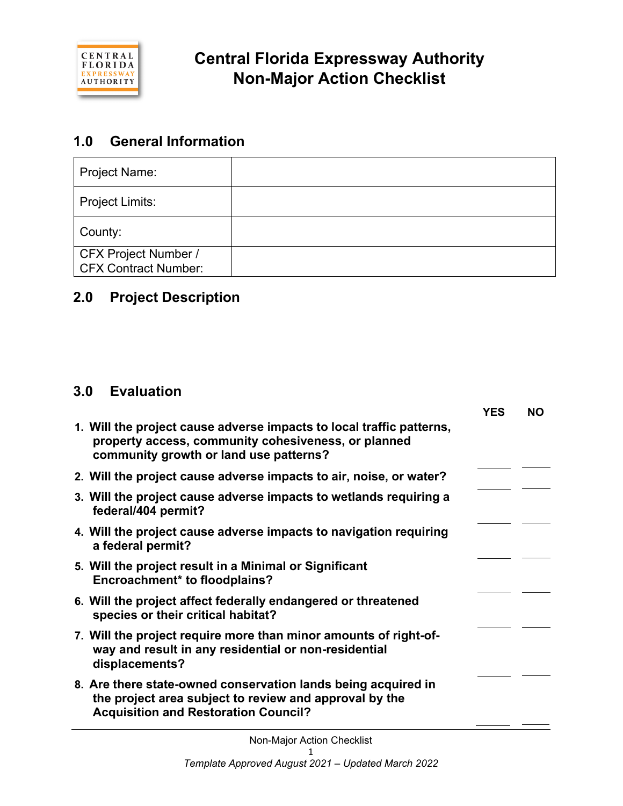

## **1.0 General Information**

| <b>Project Name:</b>                                |  |
|-----------------------------------------------------|--|
| <b>Project Limits:</b>                              |  |
| County:                                             |  |
| CFX Project Number /<br><b>CFX Contract Number:</b> |  |

## **2.0 Project Description**

## **3.0 Evaluation**

|                                                                                                                                                                        | YES | <b>NO</b> |
|------------------------------------------------------------------------------------------------------------------------------------------------------------------------|-----|-----------|
| 1. Will the project cause adverse impacts to local traffic patterns,<br>property access, community cohesiveness, or planned<br>community growth or land use patterns?  |     |           |
| 2. Will the project cause adverse impacts to air, noise, or water?                                                                                                     |     |           |
| 3. Will the project cause adverse impacts to wetlands requiring a<br>federal/404 permit?                                                                               |     |           |
| 4. Will the project cause adverse impacts to navigation requiring<br>a federal permit?                                                                                 |     |           |
| 5. Will the project result in a Minimal or Significant<br><b>Encroachment* to floodplains?</b>                                                                         |     |           |
| 6. Will the project affect federally endangered or threatened<br>species or their critical habitat?                                                                    |     |           |
| 7. Will the project require more than minor amounts of right-of-<br>way and result in any residential or non-residential<br>displacements?                             |     |           |
| 8. Are there state-owned conservation lands being acquired in<br>the project area subject to review and approval by the<br><b>Acquisition and Restoration Council?</b> |     |           |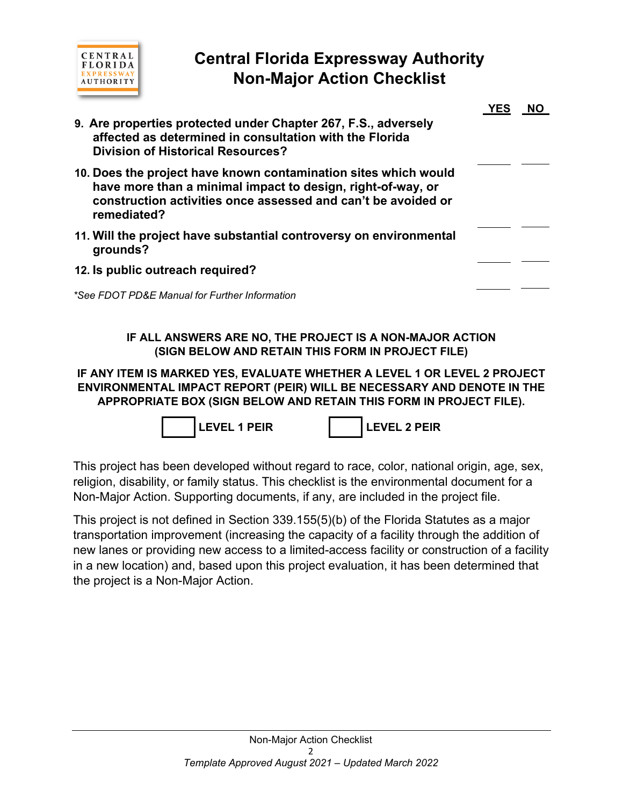

# **Central Florida Expressway Authority Non-Major Action Checklist**

| 9. Are properties protected under Chapter 267, F.S., adversely<br>affected as determined in consultation with the Florida<br><b>Division of Historical Resources?</b>                                          | YFS |  |
|----------------------------------------------------------------------------------------------------------------------------------------------------------------------------------------------------------------|-----|--|
| 10. Does the project have known contamination sites which would<br>have more than a minimal impact to design, right-of-way, or<br>construction activities once assessed and can't be avoided or<br>remediated? |     |  |
| 11. Will the project have substantial controversy on environmental<br>grounds?                                                                                                                                 |     |  |
| 12. Is public outreach required?                                                                                                                                                                               |     |  |
| *See FDOT PD&E Manual for Further Information                                                                                                                                                                  |     |  |

### **IF ALL ANSWERS ARE NO, THE PROJECT IS A NON-MAJOR ACTION (SIGN BELOW AND RETAIN THIS FORM IN PROJECT FILE)**

**IF ANY ITEM IS MARKED YES, EVALUATE WHETHER A LEVEL 1 OR LEVEL 2 PROJECT ENVIRONMENTAL IMPACT REPORT (PEIR) WILL BE NECESSARY AND DENOTE IN THE APPROPRIATE BOX (SIGN BELOW AND RETAIN THIS FORM IN PROJECT FILE).**



This project has been developed without regard to race, color, national origin, age, sex, religion, disability, or family status. This checklist is the environmental document for a Non-Major Action. Supporting documents, if any, are included in the project file.

This project is not defined in Section 339.155(5)(b) of the Florida Statutes as a major transportation improvement (increasing the capacity of a facility through the addition of new lanes or providing new access to a limited-access facility or construction of a facility in a new location) and, based upon this project evaluation, it has been determined that the project is a Non-Major Action.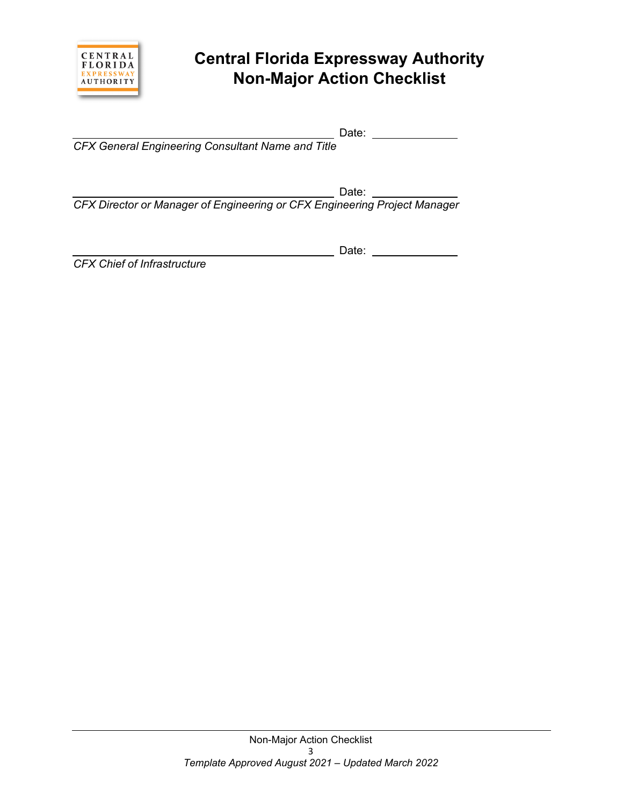

# **Central Florida Expressway Authority Non-Major Action Checklist**

Date:

*CFX General Engineering Consultant Name and Title*

 $\overline{\phantom{a}}$  Date:  $\overline{\phantom{a}}$ 

Date:

*CFX Director or Manager of Engineering or CFX Engineering Project Manager*

*CFX Chief of Infrastructure*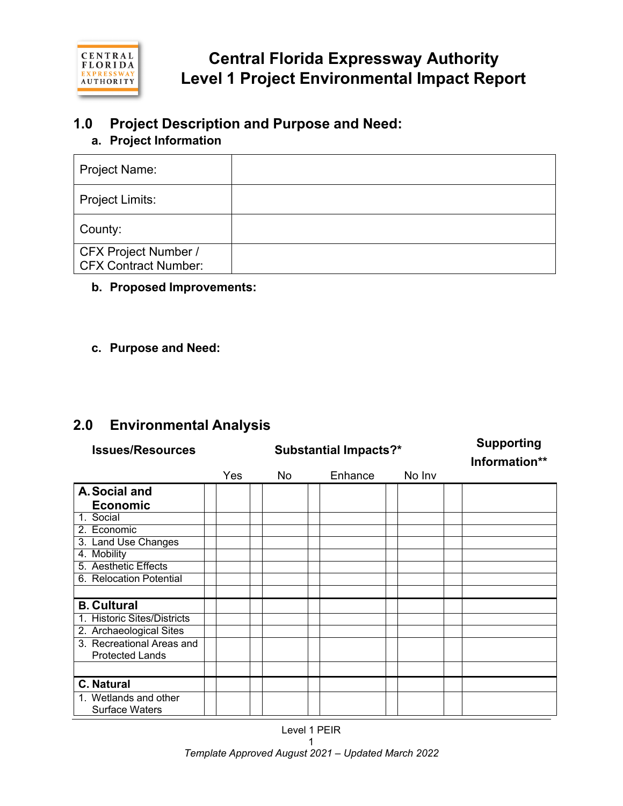

## **1.0 Project Description and Purpose and Need:**

## **a. Project Information**

| Project Name:                                              |  |
|------------------------------------------------------------|--|
| Project Limits:                                            |  |
| County:                                                    |  |
| <b>CFX Project Number /</b><br><b>CFX Contract Number:</b> |  |

## **b. Proposed Improvements:**

## **c. Purpose and Need:**

## **2.0 Environmental Analysis**

| <b>Issues/Resources</b>     | <b>Substantial Impacts?*</b> |     |         |        | <b>Supporting</b><br>Information** |
|-----------------------------|------------------------------|-----|---------|--------|------------------------------------|
|                             | Yes                          | No. | Enhance | No Inv |                                    |
| A. Social and               |                              |     |         |        |                                    |
| <b>Economic</b>             |                              |     |         |        |                                    |
| 1. Social                   |                              |     |         |        |                                    |
| 2. Economic                 |                              |     |         |        |                                    |
| 3. Land Use Changes         |                              |     |         |        |                                    |
| 4. Mobility                 |                              |     |         |        |                                    |
| 5. Aesthetic Effects        |                              |     |         |        |                                    |
| 6. Relocation Potential     |                              |     |         |        |                                    |
|                             |                              |     |         |        |                                    |
| <b>B. Cultural</b>          |                              |     |         |        |                                    |
| 1. Historic Sites/Districts |                              |     |         |        |                                    |
| 2. Archaeological Sites     |                              |     |         |        |                                    |
| 3. Recreational Areas and   |                              |     |         |        |                                    |
| <b>Protected Lands</b>      |                              |     |         |        |                                    |
|                             |                              |     |         |        |                                    |
| <b>C. Natural</b>           |                              |     |         |        |                                    |
| 1. Wetlands and other       |                              |     |         |        |                                    |
| <b>Surface Waters</b>       |                              |     |         |        |                                    |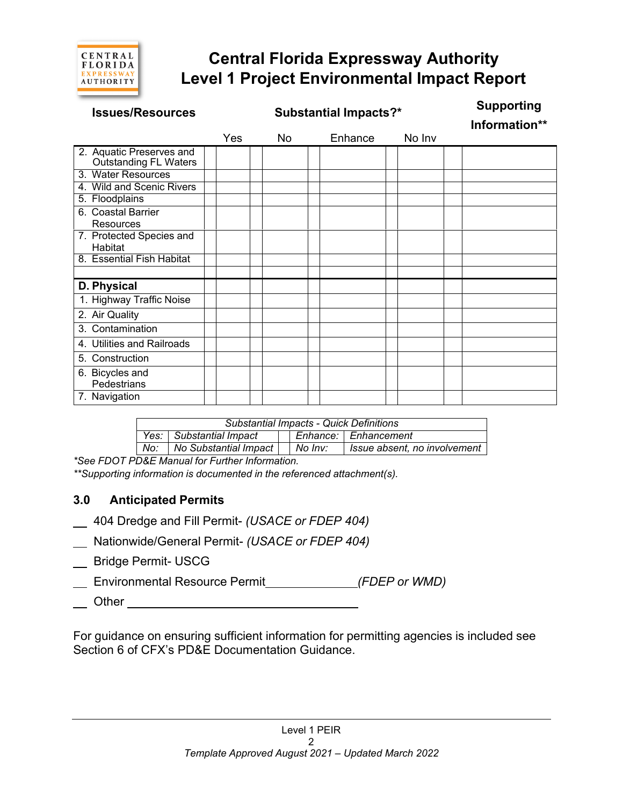

# **Central Florida Expressway Authority Level 1 Project Environmental Impact Report**

| <b>Issues/Resources</b>                                  | <b>Substantial Impacts?*</b> |     |  |    | <b>Supporting</b><br>Information** |        |  |
|----------------------------------------------------------|------------------------------|-----|--|----|------------------------------------|--------|--|
|                                                          |                              | Yes |  | No | Enhance                            | No Inv |  |
| 2. Aquatic Preserves and<br><b>Outstanding FL Waters</b> |                              |     |  |    |                                    |        |  |
| 3. Water Resources                                       |                              |     |  |    |                                    |        |  |
| 4. Wild and Scenic Rivers                                |                              |     |  |    |                                    |        |  |
| 5. Floodplains                                           |                              |     |  |    |                                    |        |  |
| 6. Coastal Barrier<br><b>Resources</b>                   |                              |     |  |    |                                    |        |  |
| 7. Protected Species and<br>Habitat                      |                              |     |  |    |                                    |        |  |
| 8. Essential Fish Habitat                                |                              |     |  |    |                                    |        |  |
|                                                          |                              |     |  |    |                                    |        |  |
| D. Physical                                              |                              |     |  |    |                                    |        |  |
| 1. Highway Traffic Noise                                 |                              |     |  |    |                                    |        |  |
| 2. Air Quality                                           |                              |     |  |    |                                    |        |  |
| 3. Contamination                                         |                              |     |  |    |                                    |        |  |
| 4. Utilities and Railroads                               |                              |     |  |    |                                    |        |  |
| 5. Construction                                          |                              |     |  |    |                                    |        |  |
| 6. Bicycles and<br>Pedestrians                           |                              |     |  |    |                                    |        |  |
| 7. Navigation                                            |                              |     |  |    |                                    |        |  |

| Substantial Impacts - Quick Definitions |                           |  |         |                              |  |  |
|-----------------------------------------|---------------------------|--|---------|------------------------------|--|--|
|                                         | Yes:   Substantial Impact |  |         | Enhance: Enhancement         |  |  |
| No:                                     | No Substantial Impact     |  | No Inv: | Issue absent, no involvement |  |  |

*\*See FDOT PD&E Manual for Further Information.*

*\*\*Supporting information is documented in the referenced attachment(s).*

### **3.0 Anticipated Permits**

- 404 Dredge and Fill Permit- *(USACE or FDEP 404)*
- Nationwide/General Permit- *(USACE or FDEP 404)*
- \_\_ Bridge Permit- USCG
- Environmental Resource Permit *(FDEP or WMD)*
- <u>Other Communications</u>

For guidance on ensuring sufficient information for permitting agencies is included see Section 6 of CFX's PD&E Documentation Guidance.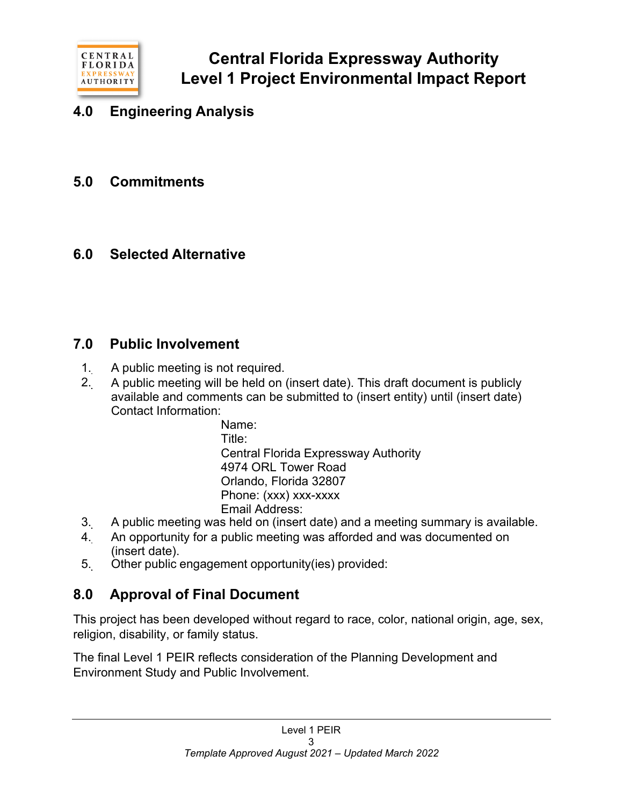

# **4.0 Engineering Analysis**

**5.0 Commitments**

## **6.0 Selected Alternative**

## **7.0 Public Involvement**

- 1. A public meeting is not required.
- 2. A public meeting will be held on (insert date). This draft document is publicly available and comments can be submitted to (insert entity) until (insert date) Contact Information:

Name: Title: Central Florida Expressway Authority 4974 ORL Tower Road Orlando, Florida 32807 Phone: (xxx) xxx-xxxx Email Address:

- 3. A public meeting was held on (insert date) and a meeting summary is available.
- 4. An opportunity for a public meeting was afforded and was documented on (insert date).
- 5. Other public engagement opportunity(ies) provided:

# **8.0 Approval of Final Document**

This project has been developed without regard to race, color, national origin, age, sex, religion, disability, or family status.

The final Level 1 PEIR reflects consideration of the Planning Development and Environment Study and Public Involvement.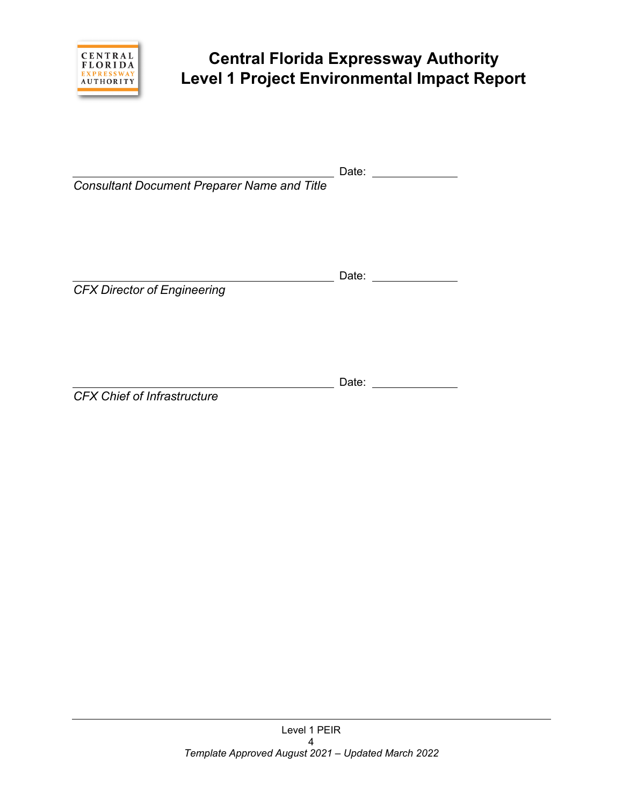

# **Central Florida Expressway Authority Level 1 Project Environmental Impact Report**

Date:

| <b>Consultant Document Preparer Name and Title</b> |       |  |
|----------------------------------------------------|-------|--|
| <b>CFX Director of Engineering</b>                 | Date: |  |
| <b>CFX Chief of Infrastructure</b>                 | Date: |  |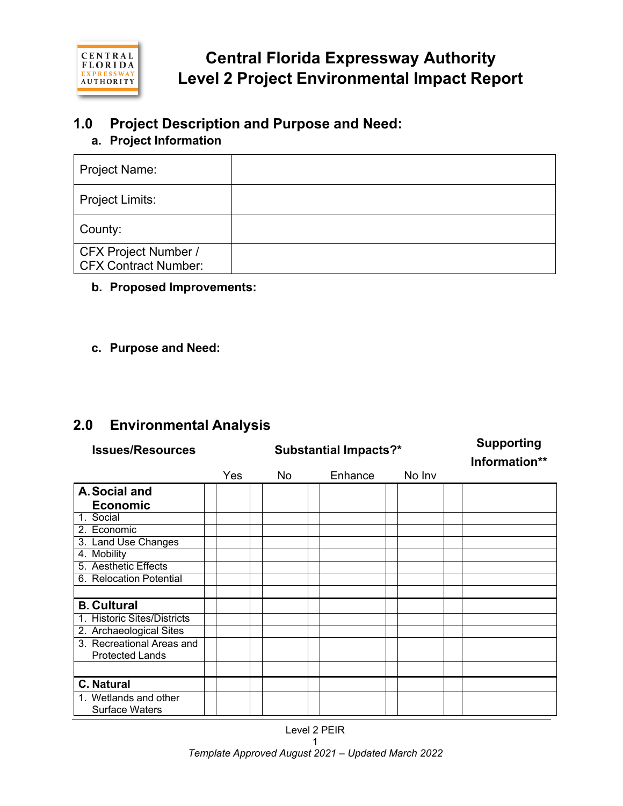

# **1.0 Project Description and Purpose and Need:**

## **a. Project Information**

| Project Name:                                              |  |
|------------------------------------------------------------|--|
| Project Limits:                                            |  |
| County:                                                    |  |
| <b>CFX Project Number /</b><br><b>CFX Contract Number:</b> |  |

## **b. Proposed Improvements:**

## **c. Purpose and Need:**

## **2.0 Environmental Analysis**

| <b>Issues/Resources</b>     |     | <b>Substantial Impacts?*</b> | <b>Supporting</b><br>Information** |        |  |
|-----------------------------|-----|------------------------------|------------------------------------|--------|--|
|                             | Yes | No.                          | Enhance                            | No Inv |  |
| A. Social and               |     |                              |                                    |        |  |
| <b>Economic</b>             |     |                              |                                    |        |  |
| 1. Social                   |     |                              |                                    |        |  |
| 2. Economic                 |     |                              |                                    |        |  |
| 3. Land Use Changes         |     |                              |                                    |        |  |
| 4. Mobility                 |     |                              |                                    |        |  |
| 5. Aesthetic Effects        |     |                              |                                    |        |  |
| 6. Relocation Potential     |     |                              |                                    |        |  |
|                             |     |                              |                                    |        |  |
| <b>B. Cultural</b>          |     |                              |                                    |        |  |
| 1. Historic Sites/Districts |     |                              |                                    |        |  |
| 2. Archaeological Sites     |     |                              |                                    |        |  |
| 3. Recreational Areas and   |     |                              |                                    |        |  |
| <b>Protected Lands</b>      |     |                              |                                    |        |  |
|                             |     |                              |                                    |        |  |
| <b>C. Natural</b>           |     |                              |                                    |        |  |
| 1. Wetlands and other       |     |                              |                                    |        |  |
| <b>Surface Waters</b>       |     |                              |                                    |        |  |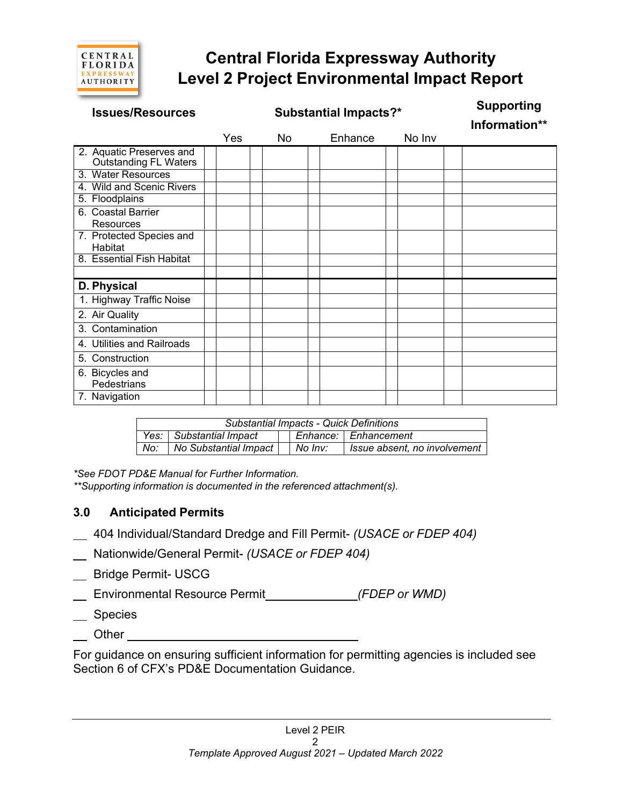

# **Central Florida Expressway Authority Level 2 Project Environmental Impact Report**

| <b>Issues/Resources</b>                                  | <b>Substantial Impacts?*</b> |  |    |  |         |  | <b>Supporting</b><br>Information** |  |
|----------------------------------------------------------|------------------------------|--|----|--|---------|--|------------------------------------|--|
|                                                          | Yes                          |  | No |  | Enhance |  | No Inv                             |  |
| 2. Aquatic Preserves and<br><b>Outstanding FL Waters</b> |                              |  |    |  |         |  |                                    |  |
| 3. Water Resources                                       |                              |  |    |  |         |  |                                    |  |
| 4. Wild and Scenic Rivers                                |                              |  |    |  |         |  |                                    |  |
| 5. Floodplains                                           |                              |  |    |  |         |  |                                    |  |
| 6. Coastal Barrier<br><b>Resources</b>                   |                              |  |    |  |         |  |                                    |  |
| 7. Protected Species and<br>Habitat                      |                              |  |    |  |         |  |                                    |  |
| 8. Essential Fish Habitat                                |                              |  |    |  |         |  |                                    |  |
|                                                          |                              |  |    |  |         |  |                                    |  |
| D. Physical                                              |                              |  |    |  |         |  |                                    |  |
| 1. Highway Traffic Noise                                 |                              |  |    |  |         |  |                                    |  |
| 2. Air Quality                                           |                              |  |    |  |         |  |                                    |  |
| 3. Contamination                                         |                              |  |    |  |         |  |                                    |  |
| 4. Utilities and Railroads                               |                              |  |    |  |         |  |                                    |  |
| 5. Construction                                          |                              |  |    |  |         |  |                                    |  |
| 6. Bicycles and<br>Pedestrians                           |                              |  |    |  |         |  |                                    |  |
| 7. Navigation                                            |                              |  |    |  |         |  |                                    |  |

| <b>Substantial Impacts - Quick Definitions</b> |                           |  |         |                              |  |  |
|------------------------------------------------|---------------------------|--|---------|------------------------------|--|--|
|                                                | Yes:   Substantial Impact |  |         | Enhance:   Enhancement       |  |  |
| No:                                            | No Substantial Impact     |  | No Inv: | Issue absent, no involvement |  |  |

*\*See FDOT PD&E Manual for Further Information.*

*\*\*Supporting information is documented in the referenced attachment(s).*

## **3.0 Anticipated Permits**

- 404 Individual/Standard Dredge and Fill Permit- *(USACE or FDEP 404)*
- Nationwide/General Permit- *(USACE or FDEP 404)*
- \_ Bridge Permit- USCG
- Environmental Resource Permit *(FDEP or WMD)*
- Species
- $\overline{\phantom{a}}$  Other  $\overline{\phantom{a}}$

For guidance on ensuring sufficient information for permitting agencies is included see Section 6 of CFX's PD&E Documentation Guidance.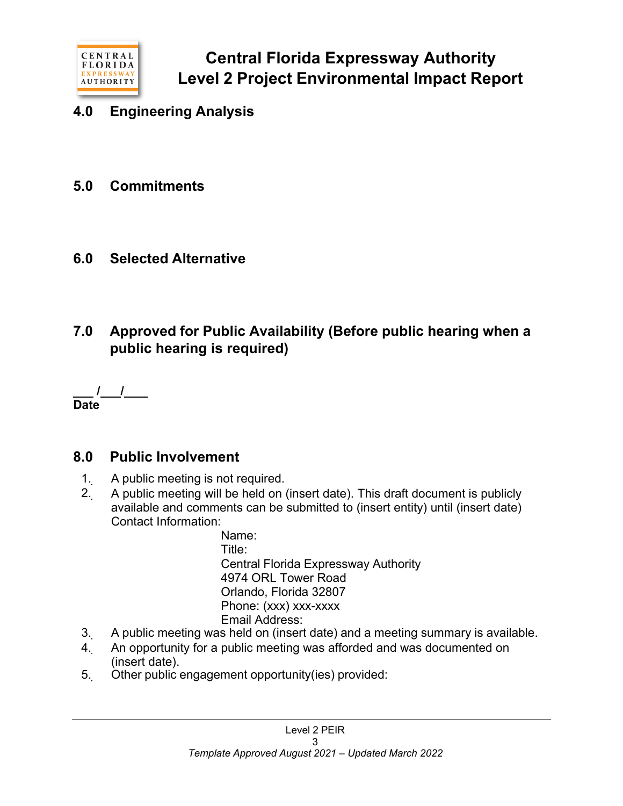

- **4.0 Engineering Analysis**
- **5.0 Commitments**
- **6.0 Selected Alternative**
- **7.0 Approved for Public Availability (Before public hearing when a public hearing is required)**

**/ / Date**

## **8.0 Public Involvement**

- 1. A public meeting is not required.
- 2. A public meeting will be held on (insert date). This draft document is publicly available and comments can be submitted to (insert entity) until (insert date) Contact Information:

Name: Title: Central Florida Expressway Authority 4974 ORL Tower Road Orlando, Florida 32807 Phone: (xxx) xxx-xxxx Email Address:

- 3. A public meeting was held on (insert date) and a meeting summary is available.
- 4. An opportunity for a public meeting was afforded and was documented on (insert date).
- 5. Other public engagement opportunity(ies) provided: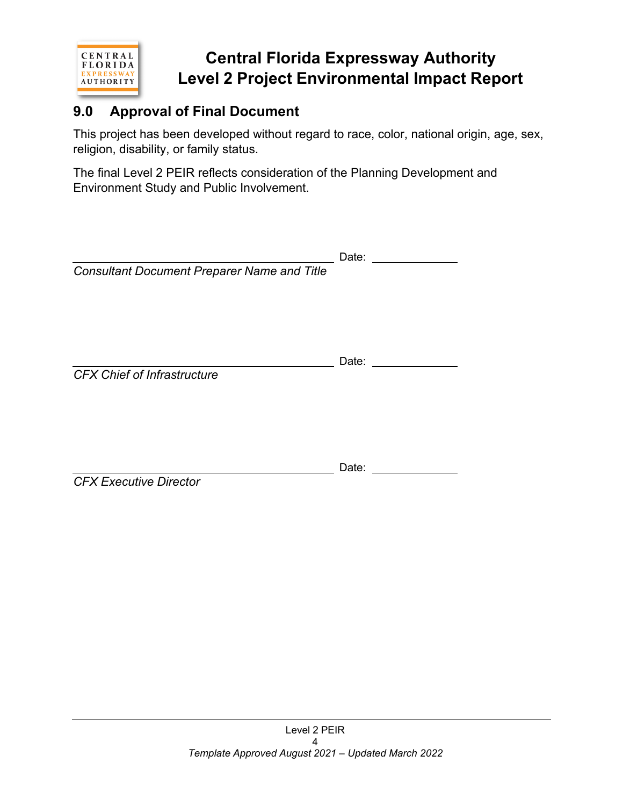

# **Central Florida Expressway Authority Level 2 Project Environmental Impact Report**

# **9.0 Approval of Final Document**

This project has been developed without regard to race, color, national origin, age, sex, religion, disability, or family status.

The final Level 2 PEIR reflects consideration of the Planning Development and Environment Study and Public Involvement.

|                                                    | Date: |
|----------------------------------------------------|-------|
| <b>Consultant Document Preparer Name and Title</b> |       |
| <b>CFX Chief of Infrastructure</b>                 | Date: |
| <b>CFX Executive Director</b>                      | Date: |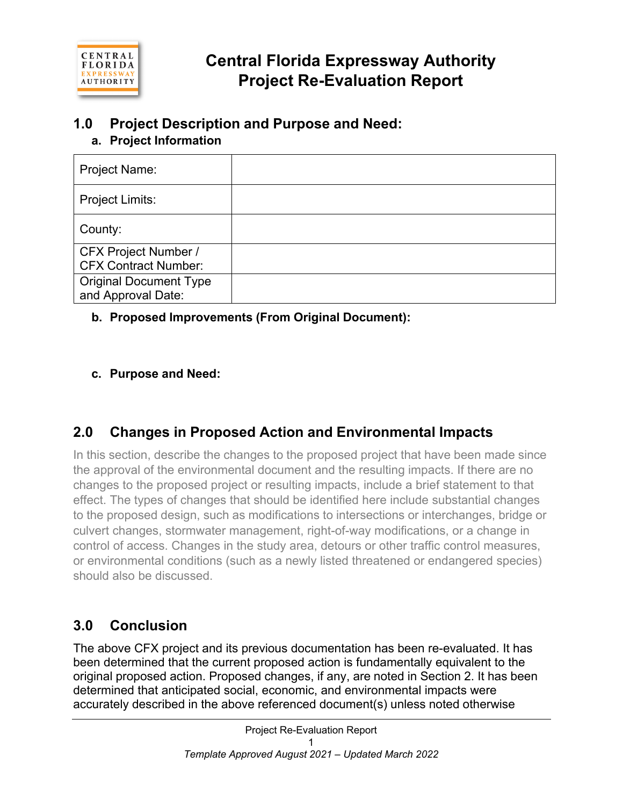

# **1.0 Project Description and Purpose and Need:**

## **a. Project Information**

| Project Name:                                              |  |
|------------------------------------------------------------|--|
| Project Limits:                                            |  |
| County:                                                    |  |
| <b>CFX Project Number /</b><br><b>CFX Contract Number:</b> |  |
| <b>Original Document Type</b><br>and Approval Date:        |  |

## **b. Proposed Improvements (From Original Document):**

## **c. Purpose and Need:**

# **2.0 Changes in Proposed Action and Environmental Impacts**

In this section, describe the changes to the proposed project that have been made since the approval of the environmental document and the resulting impacts. If there are no changes to the proposed project or resulting impacts, include a brief statement to that effect. The types of changes that should be identified here include substantial changes to the proposed design, such as modifications to intersections or interchanges, bridge or culvert changes, stormwater management, right-of-way modifications, or a change in control of access. Changes in the study area, detours or other traffic control measures, or environmental conditions (such as a newly listed threatened or endangered species) should also be discussed.

# **3.0 Conclusion**

The above CFX project and its previous documentation has been re-evaluated. It has been determined that the current proposed action is fundamentally equivalent to the original proposed action. Proposed changes, if any, are noted in Section 2. It has been determined that anticipated social, economic, and environmental impacts were accurately described in the above referenced document(s) unless noted otherwise